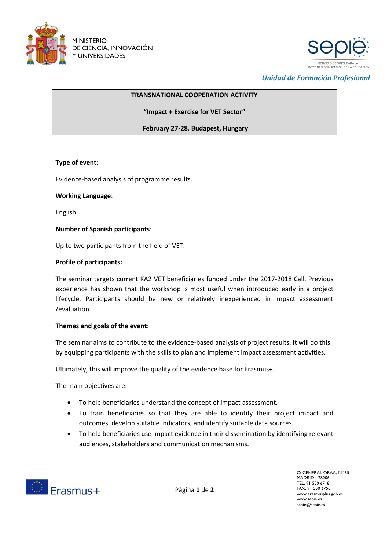



*Unidad de Formación Profesional*

## **TRANSNATIONAL COOPERATION ACTIVITY**

**"Impact + Exercise for VET Sector"**

**February 27-28, Budapest, Hungary**

### **Type of event**:

Evidence-based analysis of programme results.

### **Working Language**:

English

### **Number of Spanish participants**:

Up to two participants from the field of VET.

### **Profile of participants:**

The seminar targets current KA2 VET beneficiaries funded under the 2017-2018 Call. Previous experience has shown that the workshop is most useful when introduced early in a project lifecycle. Participants should be new or relatively inexperienced in impact assessment /evaluation.

# **Themes and goals of the event**:

The seminar aims to contribute to the evidence-based analysis of project results. It will do this by equipping participants with the skills to plan and implement impact assessment activities.

Ultimately, this will improve the quality of the evidence base for Erasmus+.

The main objectives are:

- To help beneficiaries understand the concept of impact assessment.
- To train beneficiaries so that they are able to identify their project impact and outcomes, develop suitable indicators, and identify suitable data sources.
- To help beneficiaries use impact evidence in their dissemination by identifying relevant audiences, stakeholders and communication mechanisms.